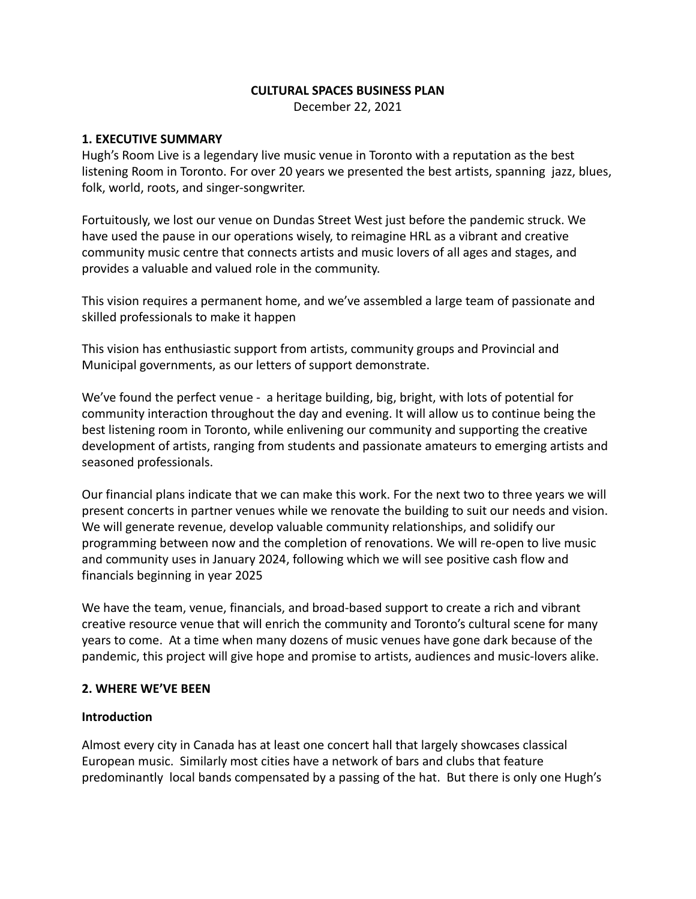### **CULTURAL SPACES BUSINESS PLAN**

December 22, 2021

#### **1. EXECUTIVE SUMMARY**

Hugh's Room Live is a legendary live music venue in Toronto with a reputation as the best listening Room in Toronto. For over 20 years we presented the best artists, spanning jazz, blues, folk, world, roots, and singer-songwriter.

Fortuitously, we lost our venue on Dundas Street West just before the pandemic struck. We have used the pause in our operations wisely, to reimagine HRL as a vibrant and creative community music centre that connects artists and music lovers of all ages and stages, and provides a valuable and valued role in the community.

This vision requires a permanent home, and we've assembled a large team of passionate and skilled professionals to make it happen

This vision has enthusiastic support from artists, community groups and Provincial and Municipal governments, as our letters of support demonstrate.

We've found the perfect venue - a heritage building, big, bright, with lots of potential for community interaction throughout the day and evening. It will allow us to continue being the best listening room in Toronto, while enlivening our community and supporting the creative development of artists, ranging from students and passionate amateurs to emerging artists and seasoned professionals.

Our financial plans indicate that we can make this work. For the next two to three years we will present concerts in partner venues while we renovate the building to suit our needs and vision. We will generate revenue, develop valuable community relationships, and solidify our programming between now and the completion of renovations. We will re-open to live music and community uses in January 2024, following which we will see positive cash flow and financials beginning in year 2025

We have the team, venue, financials, and broad-based support to create a rich and vibrant creative resource venue that will enrich the community and Toronto's cultural scene for many years to come. At a time when many dozens of music venues have gone dark because of the pandemic, this project will give hope and promise to artists, audiences and music-lovers alike.

#### **2. WHERE WE'VE BEEN**

#### **Introduction**

Almost every city in Canada has at least one concert hall that largely showcases classical European music. Similarly most cities have a network of bars and clubs that feature predominantly local bands compensated by a passing of the hat. But there is only one Hugh's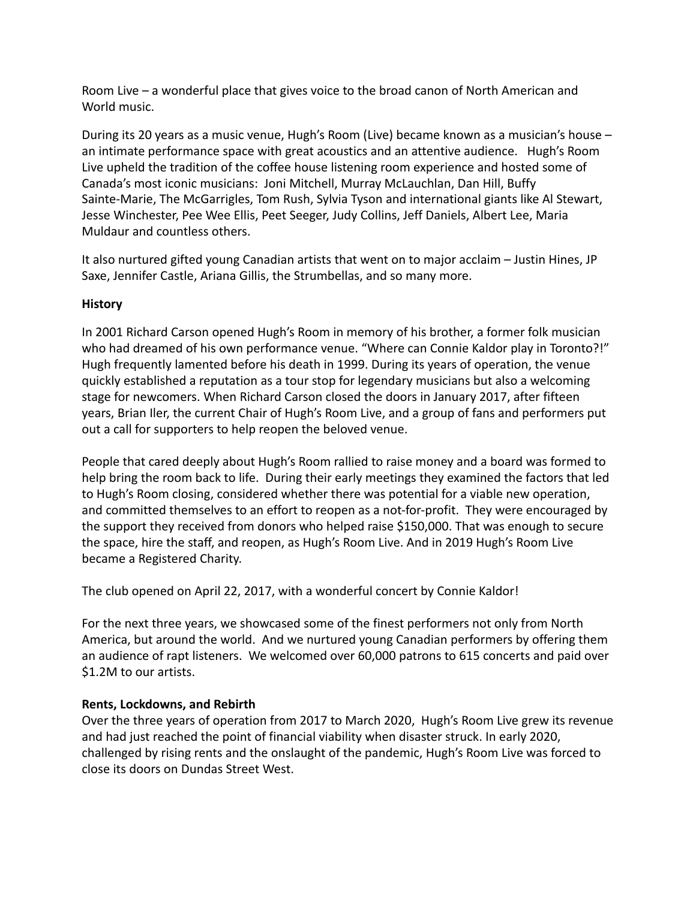Room Live – a wonderful place that gives voice to the broad canon of North American and World music.

During its 20 years as a music venue, Hugh's Room (Live) became known as a musician's house – an intimate performance space with great acoustics and an attentive audience. Hugh's Room Live upheld the tradition of the coffee house listening room experience and hosted some of Canada's most iconic musicians: Joni Mitchell, Murray McLauchlan, Dan Hill, Buffy Sainte-Marie, The McGarrigles, Tom Rush, Sylvia Tyson and international giants like Al Stewart, Jesse Winchester, Pee Wee Ellis, Peet Seeger, Judy Collins, Jeff Daniels, Albert Lee, Maria Muldaur and countless others.

It also nurtured gifted young Canadian artists that went on to major acclaim – Justin Hines, JP Saxe, Jennifer Castle, Ariana Gillis, the Strumbellas, and so many more.

## **History**

In 2001 Richard Carson opened Hugh's Room in memory of his brother, a former folk musician who had dreamed of his own performance venue. "Where can Connie Kaldor play in Toronto?!" Hugh frequently lamented before his death in 1999. During its years of operation, the venue quickly established a reputation as a tour stop for legendary musicians but also a welcoming stage for newcomers. When Richard Carson closed the doors in January 2017, after fifteen years, Brian Iler, the current Chair of Hugh's Room Live, and a group of fans and performers put out a call for supporters to help reopen the beloved venue.

People that cared deeply about Hugh's Room rallied to raise money and a board was formed to help bring the room back to life. During their early meetings they examined the factors that led to Hugh's Room closing, considered whether there was potential for a viable new operation, and committed themselves to an effort to reopen as a not-for-profit. They were encouraged by the support they received from donors who helped raise \$150,000. That was enough to secure the space, hire the staff, and reopen, as Hugh's Room Live. And in 2019 Hugh's Room Live became a Registered Charity.

The club opened on April 22, 2017, with a wonderful concert by Connie Kaldor!

For the next three years, we showcased some of the finest performers not only from North America, but around the world. And we nurtured young Canadian performers by offering them an audience of rapt listeners. We welcomed over 60,000 patrons to 615 concerts and paid over \$1.2M to our artists.

### **Rents, Lockdowns, and Rebirth**

Over the three years of operation from 2017 to March 2020, Hugh's Room Live grew its revenue and had just reached the point of financial viability when disaster struck. In early 2020, challenged by rising rents and the onslaught of the pandemic, Hugh's Room Live was forced to close its doors on Dundas Street West.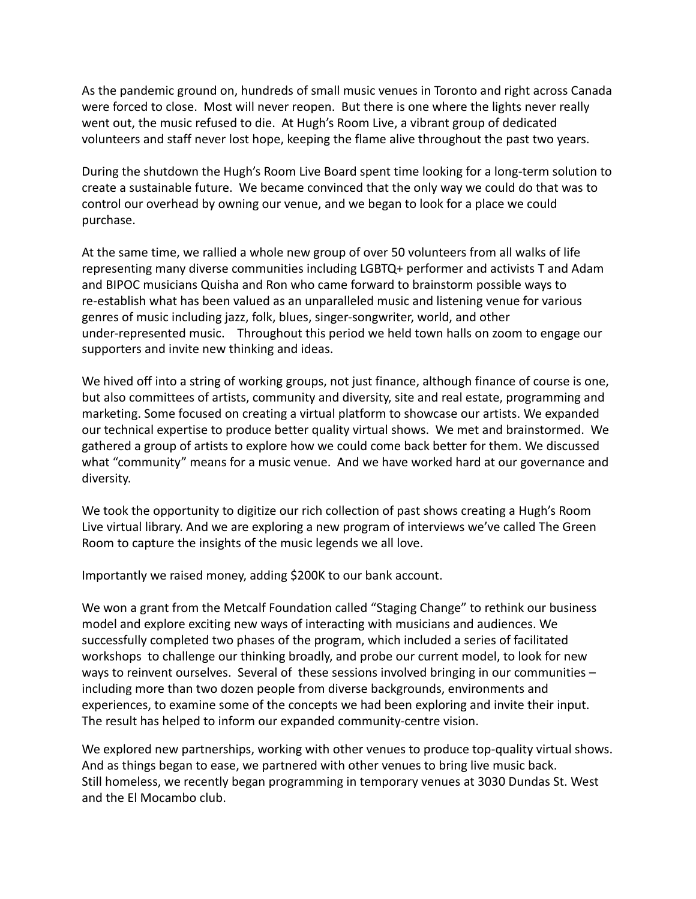As the pandemic ground on, hundreds of small music venues in Toronto and right across Canada were forced to close. Most will never reopen. But there is one where the lights never really went out, the music refused to die. At Hugh's Room Live, a vibrant group of dedicated volunteers and staff never lost hope, keeping the flame alive throughout the past two years.

During the shutdown the Hugh's Room Live Board spent time looking for a long-term solution to create a sustainable future. We became convinced that the only way we could do that was to control our overhead by owning our venue, and we began to look for a place we could purchase.

At the same time, we rallied a whole new group of over 50 volunteers from all walks of life representing many diverse communities including LGBTQ+ performer and activists T and Adam and BIPOC musicians Quisha and Ron who came forward to brainstorm possible ways to re-establish what has been valued as an unparalleled music and listening venue for various genres of music including jazz, folk, blues, singer-songwriter, world, and other under-represented music. Throughout this period we held town halls on zoom to engage our supporters and invite new thinking and ideas.

We hived off into a string of working groups, not just finance, although finance of course is one, but also committees of artists, community and diversity, site and real estate, programming and marketing. Some focused on creating a virtual platform to showcase our artists. We expanded our technical expertise to produce better quality virtual shows. We met and brainstormed. We gathered a group of artists to explore how we could come back better for them. We discussed what "community" means for a music venue. And we have worked hard at our governance and diversity.

We took the opportunity to digitize our rich collection of past shows creating a Hugh's Room Live virtual library. And we are exploring a new program of interviews we've called The Green Room to capture the insights of the music legends we all love.

Importantly we raised money, adding \$200K to our bank account.

We won a grant from the Metcalf Foundation called "Staging Change" to rethink our business model and explore exciting new ways of interacting with musicians and audiences. We successfully completed two phases of the program, which included a series of facilitated workshops to challenge our thinking broadly, and probe our current model, to look for new ways to reinvent ourselves. Several of these sessions involved bringing in our communities – including more than two dozen people from diverse backgrounds, environments and experiences, to examine some of the concepts we had been exploring and invite their input. The result has helped to inform our expanded community-centre vision.

We explored new partnerships, working with other venues to produce top-quality virtual shows. And as things began to ease, we partnered with other venues to bring live music back. Still homeless, we recently began programming in temporary venues at 3030 Dundas St. West and the El Mocambo club.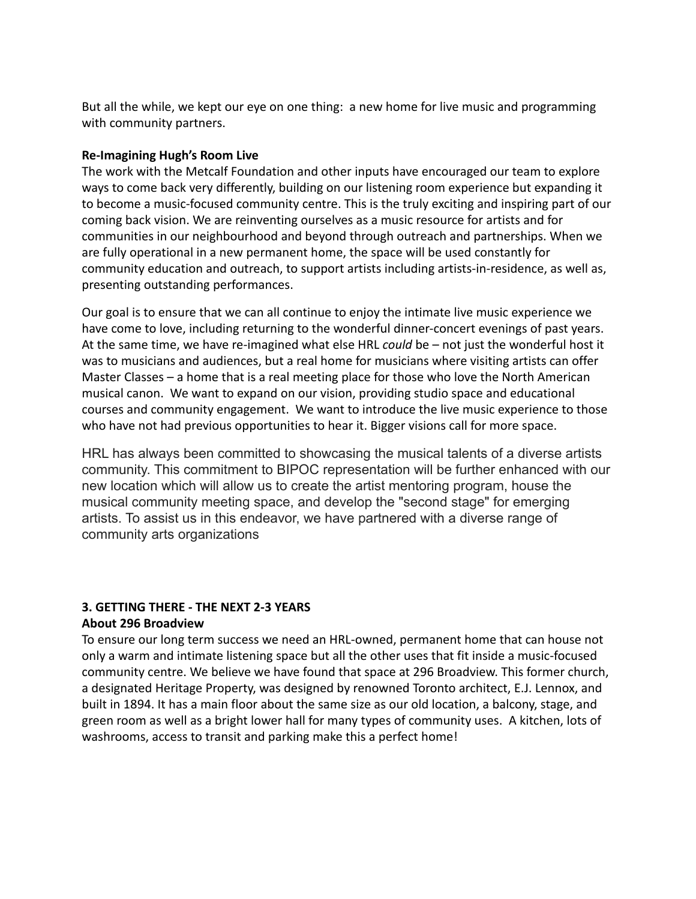But all the while, we kept our eye on one thing: a new home for live music and programming with community partners.

### **Re-Imagining Hugh's Room Live**

The work with the Metcalf Foundation and other inputs have encouraged our team to explore ways to come back very differently, building on our listening room experience but expanding it to become a music-focused community centre. This is the truly exciting and inspiring part of our coming back vision. We are reinventing ourselves as a music resource for artists and for communities in our neighbourhood and beyond through outreach and partnerships. When we are fully operational in a new permanent home, the space will be used constantly for community education and outreach, to support artists including artists-in-residence, as well as, presenting outstanding performances.

Our goal is to ensure that we can all continue to enjoy the intimate live music experience we have come to love, including returning to the wonderful dinner-concert evenings of past years. At the same time, we have re-imagined what else HRL *could* be – not just the wonderful host it was to musicians and audiences, but a real home for musicians where visiting artists can offer Master Classes – a home that is a real meeting place for those who love the North American musical canon. We want to expand on our vision, providing studio space and educational courses and community engagement. We want to introduce the live music experience to those who have not had previous opportunities to hear it. Bigger visions call for more space.

HRL has always been committed to showcasing the musical talents of a diverse artists community. This commitment to BIPOC representation will be further enhanced with our new location which will allow us to create the artist mentoring program, house the musical community meeting space, and develop the "second stage" for emerging artists. To assist us in this endeavor, we have partnered with a diverse range of community arts organizations

## **3. GETTING THERE - THE NEXT 2-3 YEARS About 296 Broadview**

To ensure our long term success we need an HRL-owned, permanent home that can house not only a warm and intimate listening space but all the other uses that fit inside a music-focused community centre. We believe we have found that space at 296 Broadview. This former church, a designated Heritage Property, was designed by renowned Toronto architect, E.J. Lennox, and built in 1894. It has a main floor about the same size as our old location, a balcony, stage, and green room as well as a bright lower hall for many types of community uses. A kitchen, lots of washrooms, access to transit and parking make this a perfect home!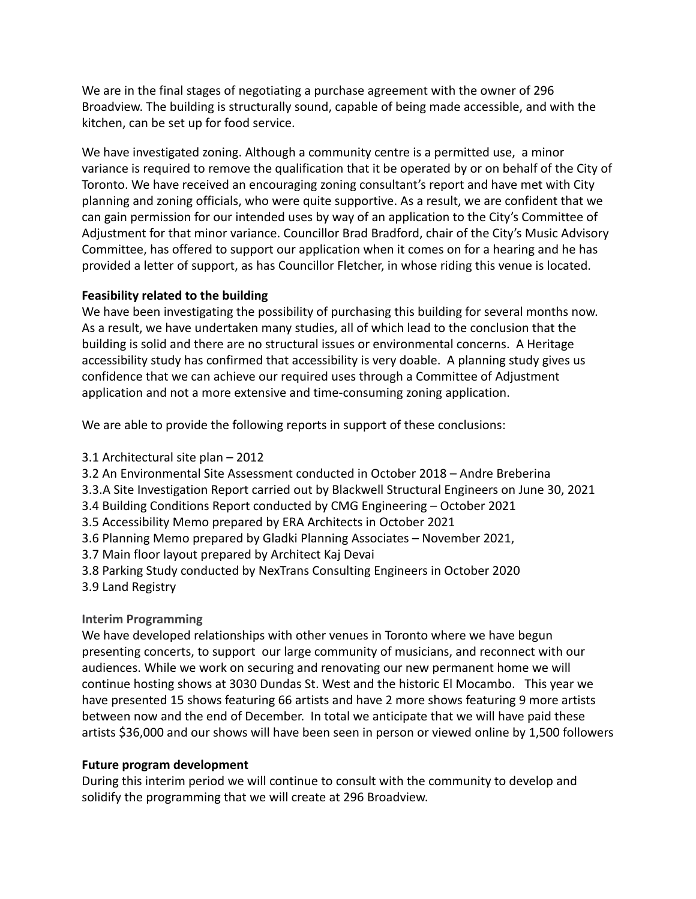We are in the final stages of negotiating a purchase agreement with the owner of 296 Broadview. The building is structurally sound, capable of being made accessible, and with the kitchen, can be set up for food service.

We have investigated zoning. Although a community centre is a permitted use, a minor variance is required to remove the qualification that it be operated by or on behalf of the City of Toronto. We have received an encouraging zoning consultant's report and have met with City planning and zoning officials, who were quite supportive. As a result, we are confident that we can gain permission for our intended uses by way of an application to the City's Committee of Adjustment for that minor variance. Councillor Brad Bradford, chair of the City's Music Advisory Committee, has offered to support our application when it comes on for a hearing and he has provided a letter of support, as has Councillor Fletcher, in whose riding this venue is located.

## **Feasibility related to the building**

We have been investigating the possibility of purchasing this building for several months now. As a result, we have undertaken many studies, all of which lead to the conclusion that the building is solid and there are no structural issues or environmental concerns. A Heritage accessibility study has confirmed that accessibility is very doable. A planning study gives us confidence that we can achieve our required uses through a Committee of Adjustment application and not a more extensive and time-consuming zoning application.

We are able to provide the following reports in support of these conclusions:

3.1 Architectural site plan – 2012

3.2 An Environmental Site Assessment conducted in October 2018 – Andre Breberina

3.3.A Site Investigation Report carried out by Blackwell Structural Engineers on June 30, 2021

3.4 Building Conditions Report conducted by CMG Engineering – October 2021

3.5 Accessibility Memo prepared by ERA Architects in October 2021

3.6 Planning Memo prepared by Gladki Planning Associates – November 2021,

3.7 Main floor layout prepared by Architect Kaj Devai

- 3.8 Parking Study conducted by NexTrans Consulting Engineers in October 2020
- 3.9 Land Registry

# **Interim Programming**

We have developed relationships with other venues in Toronto where we have begun presenting concerts, to support our large community of musicians, and reconnect with our audiences. While we work on securing and renovating our new permanent home we will continue hosting shows at 3030 Dundas St. West and the historic El Mocambo. This year we have presented 15 shows featuring 66 artists and have 2 more shows featuring 9 more artists between now and the end of December. In total we anticipate that we will have paid these artists \$36,000 and our shows will have been seen in person or viewed online by 1,500 followers

## **Future program development**

During this interim period we will continue to consult with the community to develop and solidify the programming that we will create at 296 Broadview.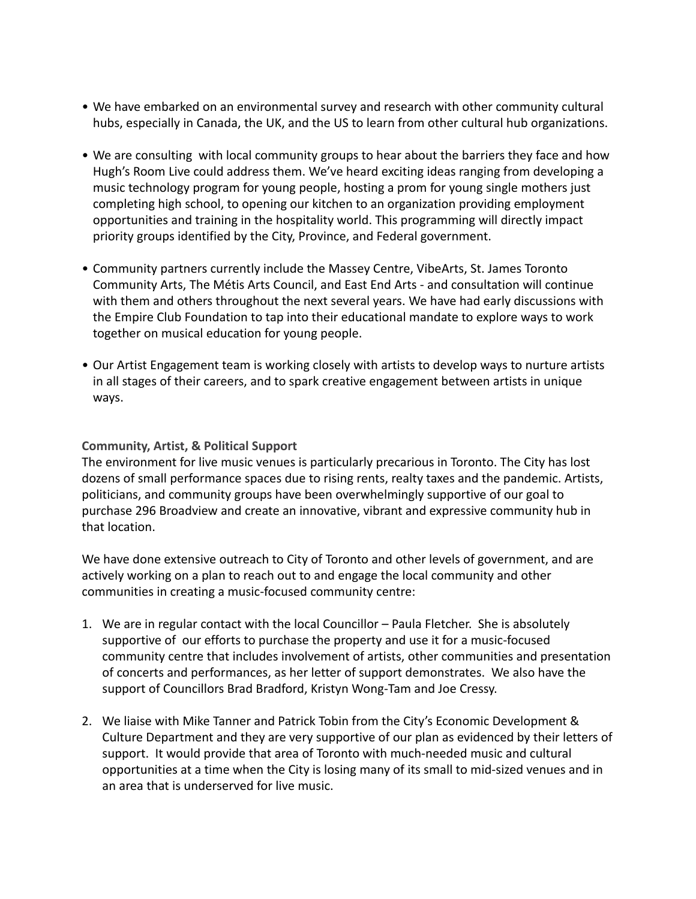- We have embarked on an environmental survey and research with other community cultural hubs, especially in Canada, the UK, and the US to learn from other cultural hub organizations.
- We are consulting with local community groups to hear about the barriers they face and how Hugh's Room Live could address them. We've heard exciting ideas ranging from developing a music technology program for young people, hosting a prom for young single mothers just completing high school, to opening our kitchen to an organization providing employment opportunities and training in the hospitality world. This programming will directly impact priority groups identified by the City, Province, and Federal government.
- Community partners currently include the Massey Centre, VibeArts, St. James Toronto Community Arts, The Métis Arts Council, and East End Arts - and consultation will continue with them and others throughout the next several years. We have had early discussions with the Empire Club Foundation to tap into their educational mandate to explore ways to work together on musical education for young people.
- Our Artist Engagement team is working closely with artists to develop ways to nurture artists in all stages of their careers, and to spark creative engagement between artists in unique ways.

## **Community, Artist, & Political Support**

The environment for live music venues is particularly precarious in Toronto. The City has lost dozens of small performance spaces due to rising rents, realty taxes and the pandemic. Artists, politicians, and community groups have been overwhelmingly supportive of our goal to purchase 296 Broadview and create an innovative, vibrant and expressive community hub in that location.

We have done extensive outreach to City of Toronto and other levels of government, and are actively working on a plan to reach out to and engage the local community and other communities in creating a music-focused community centre:

- 1. We are in regular contact with the local Councillor Paula Fletcher. She is absolutely supportive of our efforts to purchase the property and use it for a music-focused community centre that includes involvement of artists, other communities and presentation of concerts and performances, as her letter of support demonstrates. We also have the support of Councillors Brad Bradford, Kristyn Wong-Tam and Joe Cressy.
- 2. We liaise with Mike Tanner and Patrick Tobin from the City's Economic Development & Culture Department and they are very supportive of our plan as evidenced by their letters of support. It would provide that area of Toronto with much-needed music and cultural opportunities at a time when the City is losing many of its small to mid-sized venues and in an area that is underserved for live music.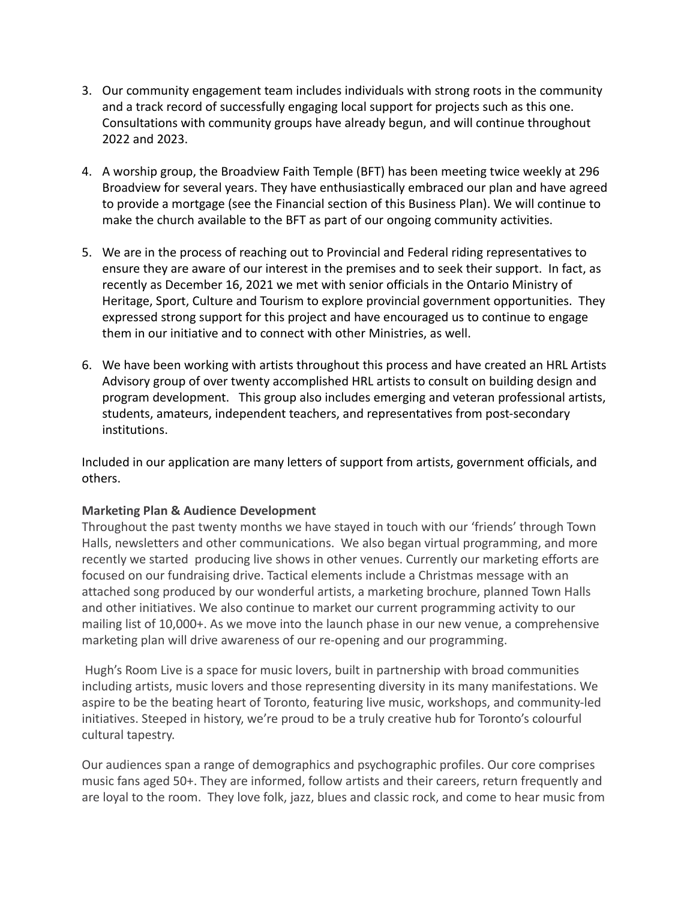- 3. Our community engagement team includes individuals with strong roots in the community and a track record of successfully engaging local support for projects such as this one. Consultations with community groups have already begun, and will continue throughout 2022 and 2023.
- 4. A worship group, the Broadview Faith Temple (BFT) has been meeting twice weekly at 296 Broadview for several years. They have enthusiastically embraced our plan and have agreed to provide a mortgage (see the Financial section of this Business Plan). We will continue to make the church available to the BFT as part of our ongoing community activities.
- 5. We are in the process of reaching out to Provincial and Federal riding representatives to ensure they are aware of our interest in the premises and to seek their support. In fact, as recently as December 16, 2021 we met with senior officials in the Ontario Ministry of Heritage, Sport, Culture and Tourism to explore provincial government opportunities. They expressed strong support for this project and have encouraged us to continue to engage them in our initiative and to connect with other Ministries, as well.
- 6. We have been working with artists throughout this process and have created an HRL Artists Advisory group of over twenty accomplished HRL artists to consult on building design and program development. This group also includes emerging and veteran professional artists, students, amateurs, independent teachers, and representatives from post-secondary institutions.

Included in our application are many letters of support from artists, government officials, and others.

### **Marketing Plan & Audience Development**

Throughout the past twenty months we have stayed in touch with our 'friends' through Town Halls, newsletters and other communications. We also began virtual programming, and more recently we started producing live shows in other venues. Currently our marketing efforts are focused on our fundraising drive. Tactical elements include a Christmas message with an attached song produced by our wonderful artists, a marketing brochure, planned Town Halls and other initiatives. We also continue to market our current programming activity to our mailing list of 10,000+. As we move into the launch phase in our new venue, a comprehensive marketing plan will drive awareness of our re-opening and our programming.

Hugh's Room Live is a space for music lovers, built in partnership with broad communities including artists, music lovers and those representing diversity in its many manifestations. We aspire to be the beating heart of Toronto, featuring live music, workshops, and community-led initiatives. Steeped in history, we're proud to be a truly creative hub for Toronto's colourful cultural tapestry.

Our audiences span a range of demographics and psychographic profiles. Our core comprises music fans aged 50+. They are informed, follow artists and their careers, return frequently and are loyal to the room. They love folk, jazz, blues and classic rock, and come to hear music from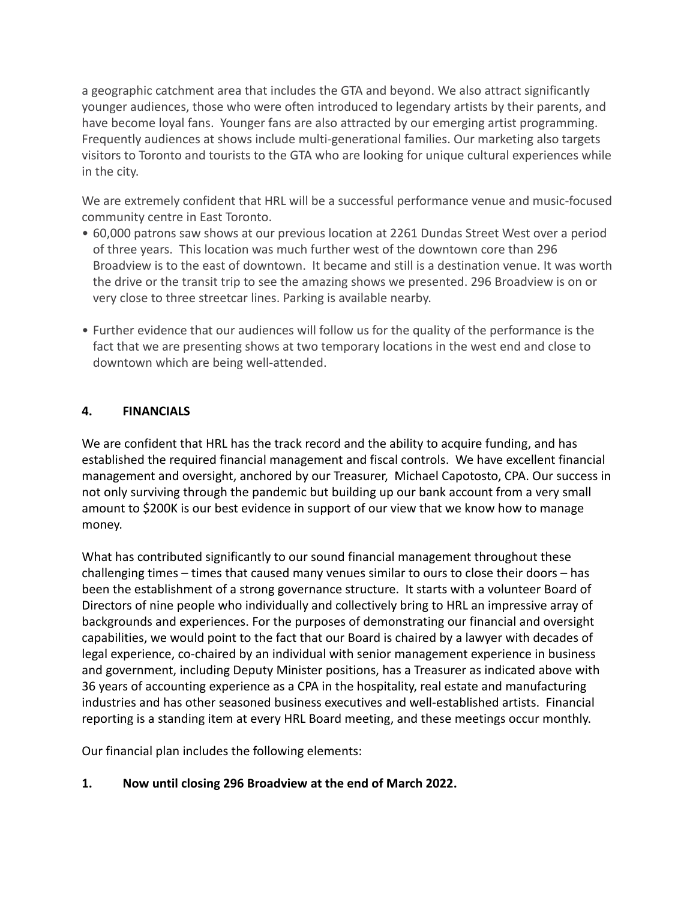a geographic catchment area that includes the GTA and beyond. We also attract significantly younger audiences, those who were often introduced to legendary artists by their parents, and have become loyal fans. Younger fans are also attracted by our emerging artist programming. Frequently audiences at shows include multi-generational families. Our marketing also targets visitors to Toronto and tourists to the GTA who are looking for unique cultural experiences while in the city.

We are extremely confident that HRL will be a successful performance venue and music-focused community centre in East Toronto.

- 60,000 patrons saw shows at our previous location at 2261 Dundas Street West over a period of three years. This location was much further west of the downtown core than 296 Broadview is to the east of downtown. It became and still is a destination venue. It was worth the drive or the transit trip to see the amazing shows we presented. 296 Broadview is on or very close to three streetcar lines. Parking is available nearby.
- Further evidence that our audiences will follow us for the quality of the performance is the fact that we are presenting shows at two temporary locations in the west end and close to downtown which are being well-attended.

# **4. FINANCIALS**

We are confident that HRL has the track record and the ability to acquire funding, and has established the required financial management and fiscal controls. We have excellent financial management and oversight, anchored by our Treasurer, Michael Capotosto, CPA. Our success in not only surviving through the pandemic but building up our bank account from a very small amount to \$200K is our best evidence in support of our view that we know how to manage money.

What has contributed significantly to our sound financial management throughout these challenging times – times that caused many venues similar to ours to close their doors – has been the establishment of a strong governance structure. It starts with a volunteer Board of Directors of nine people who individually and collectively bring to HRL an impressive array of backgrounds and experiences. For the purposes of demonstrating our financial and oversight capabilities, we would point to the fact that our Board is chaired by a lawyer with decades of legal experience, co-chaired by an individual with senior management experience in business and government, including Deputy Minister positions, has a Treasurer as indicated above with 36 years of accounting experience as a CPA in the hospitality, real estate and manufacturing industries and has other seasoned business executives and well-established artists. Financial reporting is a standing item at every HRL Board meeting, and these meetings occur monthly.

Our financial plan includes the following elements:

**1. Now until closing 296 Broadview at the end of March 2022.**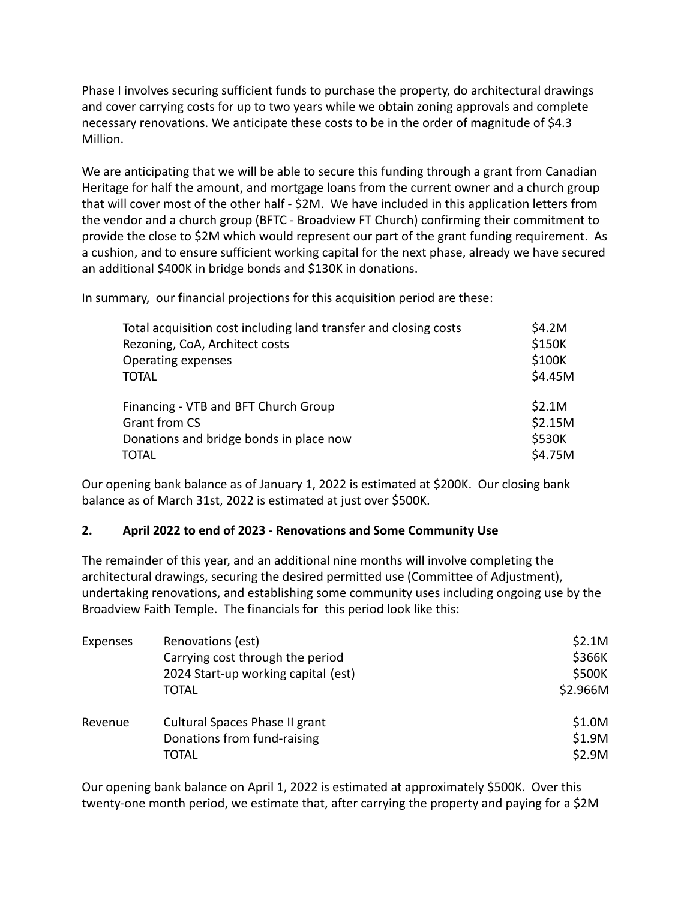Phase I involves securing sufficient funds to purchase the property, do architectural drawings and cover carrying costs for up to two years while we obtain zoning approvals and complete necessary renovations. We anticipate these costs to be in the order of magnitude of \$4.3 Million.

We are anticipating that we will be able to secure this funding through a grant from Canadian Heritage for half the amount, and mortgage loans from the current owner and a church group that will cover most of the other half - \$2M. We have included in this application letters from the vendor and a church group (BFTC - Broadview FT Church) confirming their commitment to provide the close to \$2M which would represent our part of the grant funding requirement. As a cushion, and to ensure sufficient working capital for the next phase, already we have secured an additional \$400K in bridge bonds and \$130K in donations.

In summary, our financial projections for this acquisition period are these:

| Total acquisition cost including land transfer and closing costs | \$4.2M  |
|------------------------------------------------------------------|---------|
| Rezoning, CoA, Architect costs                                   | \$150K  |
| Operating expenses                                               | \$100K  |
| <b>TOTAL</b>                                                     | \$4.45M |
| Financing - VTB and BFT Church Group                             | \$2.1M  |
| <b>Grant from CS</b>                                             | \$2.15M |
| Donations and bridge bonds in place now                          | \$530K  |
| <b>TOTAL</b>                                                     | \$4.75M |

Our opening bank balance as of January 1, 2022 is estimated at \$200K. Our closing bank balance as of March 31st, 2022 is estimated at just over \$500K.

## **2. April 2022 to end of 2023 - Renovations and Some Community Use**

The remainder of this year, and an additional nine months will involve completing the architectural drawings, securing the desired permitted use (Committee of Adjustment), undertaking renovations, and establishing some community uses including ongoing use by the Broadview Faith Temple. The financials for this period look like this:

| Expenses | Renovations (est)<br>Carrying cost through the period<br>2024 Start-up working capital (est)<br><b>TOTAL</b> | \$2.1M<br>\$366K<br>\$500K<br>\$2.966M |
|----------|--------------------------------------------------------------------------------------------------------------|----------------------------------------|
| Revenue  | Cultural Spaces Phase II grant<br>Donations from fund-raising<br>TOTAL                                       | \$1.0M<br>\$1.9M<br>\$2.9M             |

Our opening bank balance on April 1, 2022 is estimated at approximately \$500K. Over this twenty-one month period, we estimate that, after carrying the property and paying for a \$2M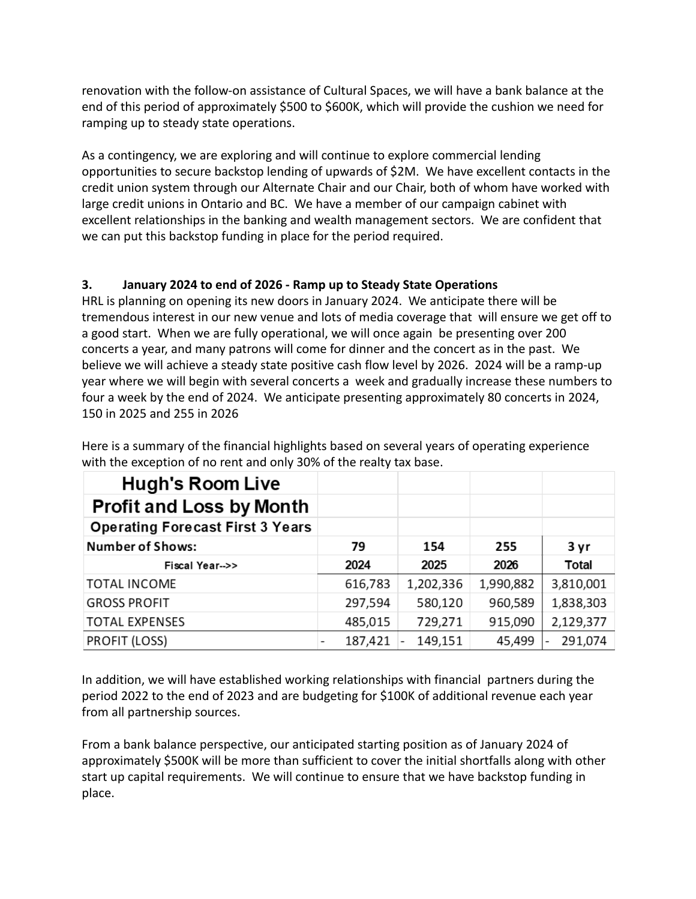renovation with the follow-on assistance of Cultural Spaces, we will have a bank balance at the end of this period of approximately \$500 to \$600K, which will provide the cushion we need for ramping up to steady state operations.

As a contingency, we are exploring and will continue to explore commercial lending opportunities to secure backstop lending of upwards of \$2M. We have excellent contacts in the credit union system through our Alternate Chair and our Chair, both of whom have worked with large credit unions in Ontario and BC. We have a member of our campaign cabinet with excellent relationships in the banking and wealth management sectors. We are confident that we can put this backstop funding in place for the period required.

# **3. January 2024 to end of 2026 - Ramp up to Steady State Operations**

HRL is planning on opening its new doors in January 2024. We anticipate there will be tremendous interest in our new venue and lots of media coverage that will ensure we get off to a good start. When we are fully operational, we will once again be presenting over 200 concerts a year, and many patrons will come for dinner and the concert as in the past. We believe we will achieve a steady state positive cash flow level by 2026. 2024 will be a ramp-up year where we will begin with several concerts a week and gradually increase these numbers to four a week by the end of 2024. We anticipate presenting approximately 80 concerts in 2024, 150 in 2025 and 255 in 2026

| <b>Hugh's Room Live</b>                 |         |           |           |                                     |
|-----------------------------------------|---------|-----------|-----------|-------------------------------------|
| <b>Profit and Loss by Month</b>         |         |           |           |                                     |
| <b>Operating Forecast First 3 Years</b> |         |           |           |                                     |
| <b>Number of Shows:</b>                 | 79      | 154       | 255       | 3 yr                                |
| Fiscal Year-->>                         | 2024    | 2025      | 2026      | Total                               |
| <b>TOTAL INCOME</b>                     | 616,783 | 1,202,336 | 1,990,882 | 3,810,001                           |
| <b>GROSS PROFIT</b>                     | 297,594 | 580,120   | 960,589   | 1,838,303                           |
| <b>TOTAL EXPENSES</b>                   | 485,015 | 729,271   | 915,090   | 2,129,377                           |
| <b>PROFIT (LOSS)</b>                    | 187,421 | 149,151   | 45,499    | 291,074<br>$\overline{\phantom{0}}$ |

Here is a summary of the financial highlights based on several years of operating experience with the exception of no rent and only 30% of the realty tax base.

In addition, we will have established working relationships with financial partners during the period 2022 to the end of 2023 and are budgeting for \$100K of additional revenue each year from all partnership sources.

From a bank balance perspective, our anticipated starting position as of January 2024 of approximately \$500K will be more than sufficient to cover the initial shortfalls along with other start up capital requirements. We will continue to ensure that we have backstop funding in place.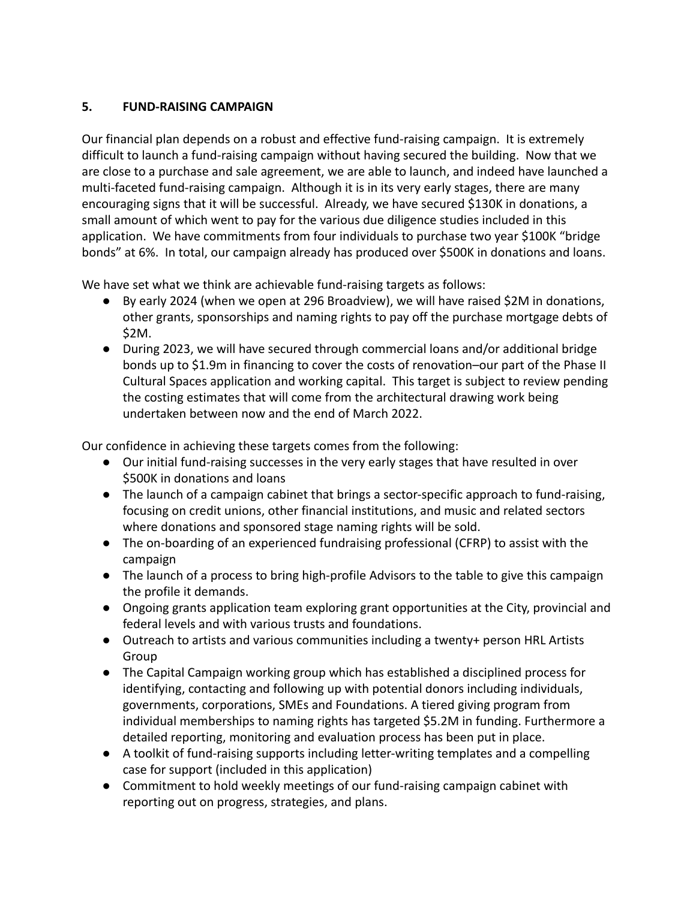# **5. FUND-RAISING CAMPAIGN**

Our financial plan depends on a robust and effective fund-raising campaign. It is extremely difficult to launch a fund-raising campaign without having secured the building. Now that we are close to a purchase and sale agreement, we are able to launch, and indeed have launched a multi-faceted fund-raising campaign. Although it is in its very early stages, there are many encouraging signs that it will be successful. Already, we have secured \$130K in donations, a small amount of which went to pay for the various due diligence studies included in this application. We have commitments from four individuals to purchase two year \$100K "bridge bonds" at 6%. In total, our campaign already has produced over \$500K in donations and loans.

We have set what we think are achievable fund-raising targets as follows:

- By early 2024 (when we open at 296 Broadview), we will have raised \$2M in donations, other grants, sponsorships and naming rights to pay off the purchase mortgage debts of \$2M.
- During 2023, we will have secured through commercial loans and/or additional bridge bonds up to \$1.9m in financing to cover the costs of renovation–our part of the Phase II Cultural Spaces application and working capital. This target is subject to review pending the costing estimates that will come from the architectural drawing work being undertaken between now and the end of March 2022.

Our confidence in achieving these targets comes from the following:

- Our initial fund-raising successes in the very early stages that have resulted in over \$500K in donations and loans
- The launch of a campaign cabinet that brings a sector-specific approach to fund-raising, focusing on credit unions, other financial institutions, and music and related sectors where donations and sponsored stage naming rights will be sold.
- The on-boarding of an experienced fundraising professional (CFRP) to assist with the campaign
- The launch of a process to bring high-profile Advisors to the table to give this campaign the profile it demands.
- Ongoing grants application team exploring grant opportunities at the City, provincial and federal levels and with various trusts and foundations.
- Outreach to artists and various communities including a twenty+ person HRL Artists Group
- The Capital Campaign working group which has established a disciplined process for identifying, contacting and following up with potential donors including individuals, governments, corporations, SMEs and Foundations. A tiered giving program from individual memberships to naming rights has targeted \$5.2M in funding. Furthermore a detailed reporting, monitoring and evaluation process has been put in place.
- A toolkit of fund-raising supports including letter-writing templates and a compelling case for support (included in this application)
- Commitment to hold weekly meetings of our fund-raising campaign cabinet with reporting out on progress, strategies, and plans.